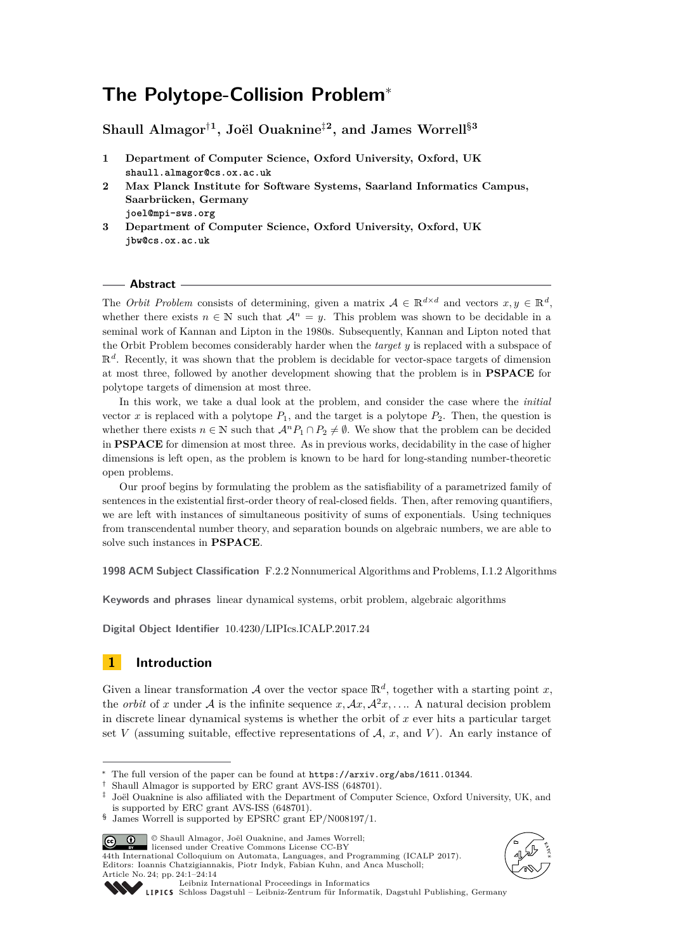# **The Polytope-Collision Problem**<sup>∗</sup>

**Shaull Almagor**†**<sup>1</sup> , Joël Ouaknine**‡**<sup>2</sup> , and James Worrell**§**<sup>3</sup>**

- **1 Department of Computer Science, Oxford University, Oxford, UK shaull.almagor@cs.ox.ac.uk**
- **2 Max Planck Institute for Software Systems, Saarland Informatics Campus, Saarbrücken, Germany**
- **joel@mpi-sws.org**
- **3 Department of Computer Science, Oxford University, Oxford, UK jbw@cs.ox.ac.uk**

#### **Abstract**

The *Orbit Problem* consists of determining, given a matrix  $A \in \mathbb{R}^{d \times d}$  and vectors  $x, y \in \mathbb{R}^d$ , whether there exists  $n \in \mathbb{N}$  such that  $\mathcal{A}^n = y$ . This problem was shown to be decidable in a seminal work of Kannan and Lipton in the 1980s. Subsequently, Kannan and Lipton noted that the Orbit Problem becomes considerably harder when the *target y* is replaced with a subspace of  $\mathbb{R}^d$ . Recently, it was shown that the problem is decidable for vector-space targets of dimension at most three, followed by another development showing that the problem is in **PSPACE** for polytope targets of dimension at most three.

In this work, we take a dual look at the problem, and consider the case where the *initial* vector *x* is replaced with a polytope  $P_1$ , and the target is a polytope  $P_2$ . Then, the question is whether there exists  $n \in \mathbb{N}$  such that  $\mathcal{A}^n P_1 \cap P_2 \neq \emptyset$ . We show that the problem can be decided in **PSPACE** for dimension at most three. As in previous works, decidability in the case of higher dimensions is left open, as the problem is known to be hard for long-standing number-theoretic open problems.

Our proof begins by formulating the problem as the satisfiability of a parametrized family of sentences in the existential first-order theory of real-closed fields. Then, after removing quantifiers, we are left with instances of simultaneous positivity of sums of exponentials. Using techniques from transcendental number theory, and separation bounds on algebraic numbers, we are able to solve such instances in **PSPACE**.

**1998 ACM Subject Classification** F.2.2 Nonnumerical Algorithms and Problems, I.1.2 Algorithms

**Keywords and phrases** linear dynamical systems, orbit problem, algebraic algorithms

**Digital Object Identifier** [10.4230/LIPIcs.ICALP.2017.24](http://dx.doi.org/10.4230/LIPIcs.ICALP.2017.24)

## <span id="page-0-0"></span>**1 Introduction**

Given a linear transformation A over the vector space  $\mathbb{R}^d$ , together with a starting point x, the *orbit* of *x* under A is the infinite sequence  $x, Ax, A^2x, \ldots$ . A natural decision problem in discrete linear dynamical systems is whether the orbit of *x* ever hits a particular target set *V* (assuming suitable, effective representations of  $A$ ,  $x$ , and *V*). An early instance of

© Shaull Almagor, Joël Ouaknine, and James Worrell; <u>ര്ര 0 </u>

licensed under Creative Commons License CC-BY 44th International Colloquium on Automata, Languages, and Programming (ICALP 2017). Editors: Ioannis Chatzigiannakis, Piotr Indyk, Fabian Kuhn, and Anca Muscholl; Article No. 24; pp. 24:1–24[:14](#page-13-0)



[Schloss Dagstuhl – Leibniz-Zentrum für Informatik, Dagstuhl Publishing, Germany](http://www.dagstuhl.de)

The full version of the paper can be found at <https://arxiv.org/abs/1611.01344>.

Shaull Almagor is supported by ERC grant AVS-ISS (648701).

<sup>‡</sup> Joël Ouaknine is also affiliated with the Department of Computer Science, Oxford University, UK, and is supported by ERC grant AVS-ISS (648701).

<sup>§</sup> James Worrell is supported by EPSRC grant EP/N008197/1.

[Leibniz International Proceedings in Informatics](http://www.dagstuhl.de/lipics/)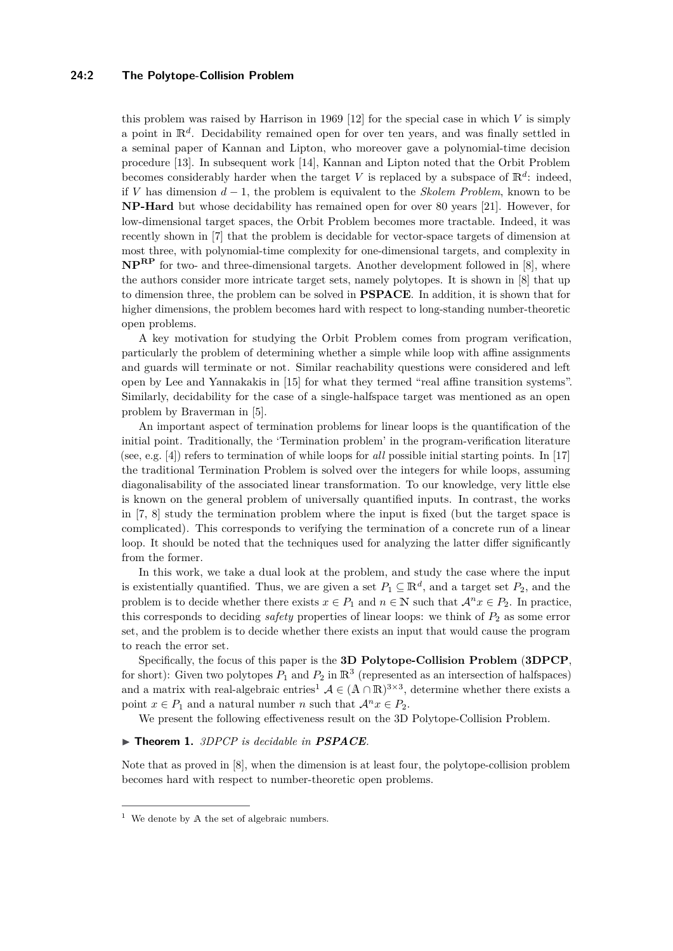#### **24:2 The Polytope-Collision Problem**

this problem was raised by Harrison in 1969 [\[12\]](#page-12-0) for the special case in which *V* is simply a point in R*<sup>d</sup>* . Decidability remained open for over ten years, and was finally settled in a seminal paper of Kannan and Lipton, who moreover gave a polynomial-time decision procedure [\[13\]](#page-12-1). In subsequent work [\[14\]](#page-12-2), Kannan and Lipton noted that the Orbit Problem becomes considerably harder when the target *V* is replaced by a subspace of  $\mathbb{R}^d$ : indeed, if *V* has dimension *d* − 1, the problem is equivalent to the *Skolem Problem*, known to be **NP-Hard** but whose decidability has remained open for over 80 years [\[21\]](#page-13-1). However, for low-dimensional target spaces, the Orbit Problem becomes more tractable. Indeed, it was recently shown in [\[7\]](#page-12-3) that the problem is decidable for vector-space targets of dimension at most three, with polynomial-time complexity for one-dimensional targets, and complexity in **NPRP** for two- and three-dimensional targets. Another development followed in [\[8\]](#page-12-4), where the authors consider more intricate target sets, namely polytopes. It is shown in [\[8\]](#page-12-4) that up to dimension three, the problem can be solved in **PSPACE**. In addition, it is shown that for higher dimensions, the problem becomes hard with respect to long-standing number-theoretic open problems.

A key motivation for studying the Orbit Problem comes from program verification, particularly the problem of determining whether a simple while loop with affine assignments and guards will terminate or not. Similar reachability questions were considered and left open by Lee and Yannakakis in [\[15\]](#page-12-5) for what they termed "real affine transition systems". Similarly, decidability for the case of a single-halfspace target was mentioned as an open problem by Braverman in [\[5\]](#page-12-6).

An important aspect of termination problems for linear loops is the quantification of the initial point. Traditionally, the 'Termination problem' in the program-verification literature (see, e.g. [\[4\]](#page-12-7)) refers to termination of while loops for *all* possible initial starting points. In [\[17\]](#page-12-8) the traditional Termination Problem is solved over the integers for while loops, assuming diagonalisability of the associated linear transformation. To our knowledge, very little else is known on the general problem of universally quantified inputs. In contrast, the works in [\[7,](#page-12-3) [8\]](#page-12-4) study the termination problem where the input is fixed (but the target space is complicated). This corresponds to verifying the termination of a concrete run of a linear loop. It should be noted that the techniques used for analyzing the latter differ significantly from the former.

In this work, we take a dual look at the problem, and study the case where the input is existentially quantified. Thus, we are given a set  $P_1 \subseteq \mathbb{R}^d$ , and a target set  $P_2$ , and the problem is to decide whether there exists  $x \in P_1$  and  $n \in \mathbb{N}$  such that  $\mathcal{A}^n x \in P_2$ . In practice, this corresponds to deciding *safety* properties of linear loops: we think of *P*<sup>2</sup> as some error set, and the problem is to decide whether there exists an input that would cause the program to reach the error set.

Specifically, the focus of this paper is the **3D Polytope-Collision Problem** (**3DPCP**, for short): Given two polytopes  $P_1$  and  $P_2$  in  $\mathbb{R}^3$  (represented as an intersection of halfspaces) and a matrix with real-algebraic entries<sup>[1](#page-1-0)</sup>  $A \in (A \cap \mathbb{R})^{3 \times 3}$ , determine whether there exists a point  $x \in P_1$  and a natural number *n* such that  $\mathcal{A}^n x \in P_2$ .

We present the following effectiveness result on the 3D Polytope-Collision Problem.

#### <span id="page-1-1"></span>▶ **Theorem 1.** *3DPCP is decidable in PSPACE.*

Note that as proved in [\[8\]](#page-12-4), when the dimension is at least four, the polytope-collision problem becomes hard with respect to number-theoretic open problems.

<span id="page-1-0"></span> $1$  We denote by A the set of algebraic numbers.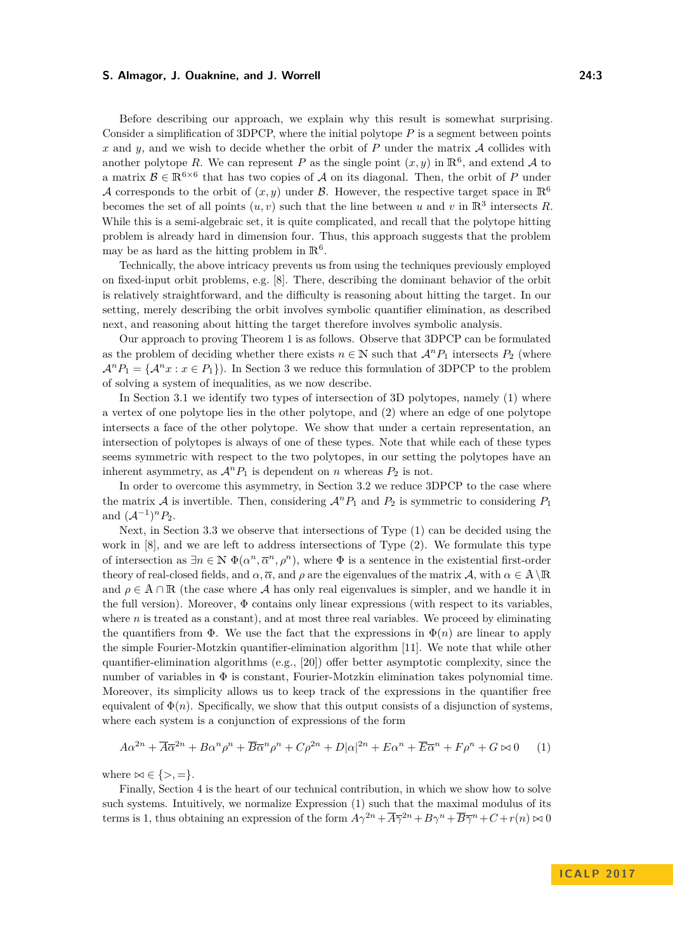Before describing our approach, we explain why this result is somewhat surprising. Consider a simplification of 3DPCP, where the initial polytope *P* is a segment between points *x* and *y*, and we wish to decide whether the orbit of *P* under the matrix A collides with another polytope R. We can represent P as the single point  $(x, y)$  in  $\mathbb{R}^6$ , and extend A to a matrix  $\mathcal{B} \in \mathbb{R}^{6 \times 6}$  that has two copies of A on its diagonal. Then, the orbit of P under A corresponds to the orbit of  $(x, y)$  under B. However, the respective target space in  $\mathbb{R}^6$ becomes the set of all points  $(u, v)$  such that the line between *u* and *v* in  $\mathbb{R}^3$  intersects *R*. While this is a semi-algebraic set, it is quite complicated, and recall that the polytope hitting problem is already hard in dimension four. Thus, this approach suggests that the problem may be as hard as the hitting problem in  $\mathbb{R}^6$ .

Technically, the above intricacy prevents us from using the techniques previously employed on fixed-input orbit problems, e.g. [\[8\]](#page-12-4). There, describing the dominant behavior of the orbit is relatively straightforward, and the difficulty is reasoning about hitting the target. In our setting, merely describing the orbit involves symbolic quantifier elimination, as described next, and reasoning about hitting the target therefore involves symbolic analysis.

Our approach to proving Theorem [1](#page-1-1) is as follows. Observe that 3DPCP can be formulated as the problem of deciding whether there exists  $n \in \mathbb{N}$  such that  $\mathcal{A}^n P_1$  intersects  $P_2$  (where  $A^n P_1 = \{A^n x : x \in P_1\}$ . In Section [3](#page-5-0) we reduce this formulation of 3DPCP to the problem of solving a system of inequalities, as we now describe.

In Section [3.1](#page-5-1) we identify two types of intersection of 3D polytopes, namely (1) where a vertex of one polytope lies in the other polytope, and (2) where an edge of one polytope intersects a face of the other polytope. We show that under a certain representation, an intersection of polytopes is always of one of these types. Note that while each of these types seems symmetric with respect to the two polytopes, in our setting the polytopes have an inherent asymmetry, as  $\mathcal{A}^n P_1$  is dependent on *n* whereas  $P_2$  is not.

In order to overcome this asymmetry, in Section [3.2](#page-6-0) we reduce 3DPCP to the case where the matrix A is invertible. Then, considering  $\mathcal{A}^n P_1$  and  $P_2$  is symmetric to considering  $P_1$ and  $(A^{-1})^n P_2$ .

Next, in Section [3.3](#page-6-1) we observe that intersections of Type (1) can be decided using the work in [\[8\]](#page-12-4), and we are left to address intersections of Type (2). We formulate this type of intersection as  $\exists n \in \mathbb{N}$   $\Phi(\alpha^n, \overline{\alpha}^n, \rho^n)$ , where  $\Phi$  is a sentence in the existential first-order theory of real-closed fields, and  $\alpha$ ,  $\overline{\alpha}$ , and  $\rho$  are the eigenvalues of the matrix  $\mathcal{A}$ , with  $\alpha \in \mathbb{A} \setminus \mathbb{R}$ and  $\rho \in A \cap \mathbb{R}$  (the case where A has only real eigenvalues is simpler, and we handle it in the full version). Moreover,  $\Phi$  contains only linear expressions (with respect to its variables, where  $n$  is treated as a constant), and at most three real variables. We proceed by eliminating the quantifiers from  $\Phi$ . We use the fact that the expressions in  $\Phi(n)$  are linear to apply the simple Fourier-Motzkin quantifier-elimination algorithm [\[11\]](#page-12-9). We note that while other quantifier-elimination algorithms  $(e.g., [20])$  $(e.g., [20])$  $(e.g., [20])$  offer better asymptotic complexity, since the number of variables in Φ is constant, Fourier-Motzkin elimination takes polynomial time. Moreover, its simplicity allows us to keep track of the expressions in the quantifier free equivalent of  $\Phi(n)$ . Specifically, we show that this output consists of a disjunction of systems, where each system is a conjunction of expressions of the form

<span id="page-2-0"></span>
$$
A\alpha^{2n} + \overline{A}\overline{\alpha}^{2n} + B\alpha^n \rho^n + \overline{B}\overline{\alpha}^n \rho^n + C\rho^{2n} + D|\alpha|^{2n} + E\alpha^n + \overline{E}\overline{\alpha}^n + F\rho^n + G \bowtie 0 \tag{1}
$$

where  $\bowtie \in \{>, =\}.$ 

Finally, Section [4](#page-8-0) is the heart of our technical contribution, in which we show how to solve such systems. Intuitively, we normalize Expression [\(1\)](#page-2-0) such that the maximal modulus of its terms is 1, thus obtaining an expression of the form  $A\gamma^{2n} + \overline{A}\overline{\gamma}^{2n} + B\gamma^n + \overline{B}\overline{\gamma}^n + C + r(n) \bowtie 0$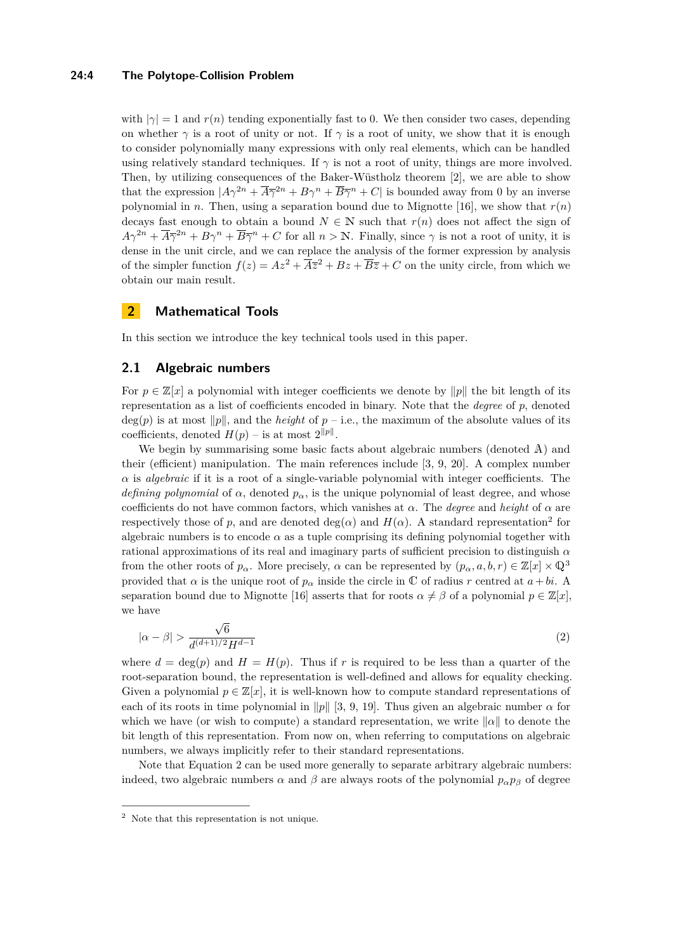#### **24:4 The Polytope-Collision Problem**

with  $|\gamma|=1$  and  $r(n)$  tending exponentially fast to 0. We then consider two cases, depending on whether  $\gamma$  is a root of unity or not. If  $\gamma$  is a root of unity, we show that it is enough to consider polynomially many expressions with only real elements, which can be handled using relatively standard techniques. If  $\gamma$  is not a root of unity, things are more involved. Then, by utilizing consequences of the Baker-Wüstholz theorem [\[2\]](#page-12-11), we are able to show that the expression  $|A\gamma^{2n} + \overline{A}\overline{\gamma}^{2n} + B\gamma^{n} + \overline{B}\overline{\gamma}^{n} + C|$  is bounded away from 0 by an inverse polynomial in *n*. Then, using a separation bound due to Mignotte [\[16\]](#page-12-12), we show that  $r(n)$ decays fast enough to obtain a bound  $N \in \mathbb{N}$  such that  $r(n)$  does not affect the sign of  $A\gamma^{2n} + \overline{A}\overline{\gamma}^{2n} + B\gamma^{n} + \overline{B}\overline{\gamma}^{n} + C$  for all  $n > \mathbb{N}$ . Finally, since  $\gamma$  is not a root of unity, it is dense in the unit circle, and we can replace the analysis of the former expression by analysis of the simpler function  $f(z) = Az^2 + \overline{Az}^2 + Bz + \overline{B}\overline{z} + C$  on the unity circle, from which we obtain our main result.

## **2 Mathematical Tools**

In this section we introduce the key technical tools used in this paper.

## <span id="page-3-2"></span>**2.1 Algebraic numbers**

For  $p \in \mathbb{Z}[x]$  a polynomial with integer coefficients we denote by  $||p||$  the bit length of its representation as a list of coefficients encoded in binary. Note that the *degree* of *p*, denoted  $deg(p)$  is at most  $||p||$ , and the *height* of  $p - i.e.,$  the maximum of the absolute values of its coefficients, denoted  $H(p)$  – is at most  $2^{\|p\|}$ .

We begin by summarising some basic facts about algebraic numbers (denoted A) and their (efficient) manipulation. The main references include [\[3,](#page-12-13) [9,](#page-12-14) [20\]](#page-12-10). A complex number  $\alpha$  is *algebraic* if it is a root of a single-variable polynomial with integer coefficients. The *defining polynomial* of  $\alpha$ , denoted  $p_{\alpha}$ , is the unique polynomial of least degree, and whose coefficients do not have common factors, which vanishes at  $\alpha$ . The *degree* and *height* of  $\alpha$  are respectively those of *p*, and are denoted  $deg(\alpha)$  and  $H(\alpha)$ . A standard representation<sup>[2](#page-3-0)</sup> for algebraic numbers is to encode  $\alpha$  as a tuple comprising its defining polynomial together with rational approximations of its real and imaginary parts of sufficient precision to distinguish *α* from the other roots of  $p_{\alpha}$ . More precisely,  $\alpha$  can be represented by  $(p_{\alpha}, a, b, r) \in \mathbb{Z}[x] \times \mathbb{Q}^3$ provided that *α* is the unique root of  $p_\alpha$  inside the circle in C of radius *r* centred at  $a + bi$ . A separation bound due to Mignotte [\[16\]](#page-12-12) asserts that for roots  $\alpha \neq \beta$  of a polynomial  $p \in \mathbb{Z}[x]$ , we have

<span id="page-3-1"></span>
$$
|\alpha - \beta| > \frac{\sqrt{6}}{d^{(d+1)/2}H^{d-1}}\tag{2}
$$

where  $d = \deg(p)$  and  $H = H(p)$ . Thus if r is required to be less than a quarter of the root-separation bound, the representation is well-defined and allows for equality checking. Given a polynomial  $p \in \mathbb{Z}[x]$ , it is well-known how to compute standard representations of each of its roots in time polynomial in  $\|p\|$  [\[3,](#page-12-13) [9,](#page-12-14) [19\]](#page-12-15). Thus given an algebraic number  $\alpha$  for which we have (or wish to compute) a standard representation, we write  $\|\alpha\|$  to denote the bit length of this representation. From now on, when referring to computations on algebraic numbers, we always implicitly refer to their standard representations.

Note that Equation [2](#page-3-1) can be used more generally to separate arbitrary algebraic numbers: indeed, two algebraic numbers  $\alpha$  and  $\beta$  are always roots of the polynomial  $p_{\alpha}p_{\beta}$  of degree

<span id="page-3-0"></span><sup>2</sup> Note that this representation is not unique.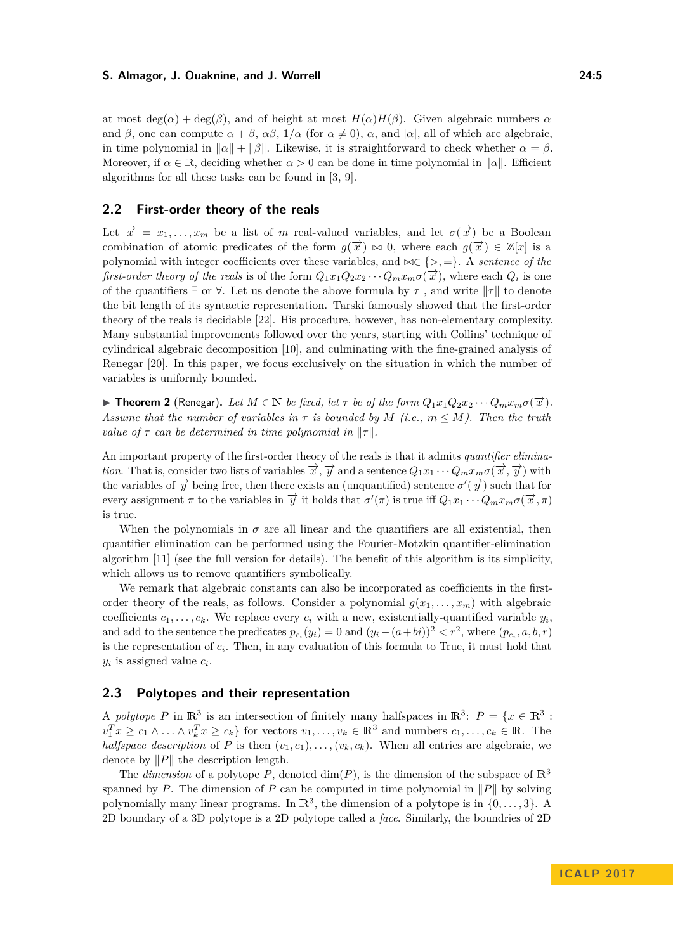at most  $deg(\alpha) + deg(\beta)$ , and of height at most  $H(\alpha)H(\beta)$ . Given algebraic numbers  $\alpha$ and  $\beta$ , one can compute  $\alpha + \beta$ ,  $\alpha\beta$ ,  $1/\alpha$  (for  $\alpha \neq 0$ ),  $\overline{\alpha}$ , and  $|\alpha|$ , all of which are algebraic, in time polynomial in  $\|\alpha\| + \|\beta\|$ . Likewise, it is straightforward to check whether  $\alpha = \beta$ . Moreover, if  $\alpha \in \mathbb{R}$ , deciding whether  $\alpha > 0$  can be done in time polynomial in  $\|\alpha\|$ . Efficient algorithms for all these tasks can be found in [\[3,](#page-12-13) [9\]](#page-12-14).

#### <span id="page-4-1"></span>**2.2 First-order theory of the reals**

Let  $\vec{x} = x_1, \ldots, x_m$  be a list of *m* real-valued variables, and let  $\sigma(\vec{x})$  be a Boolean combination of atomic predicates of the form  $g(\vec{x}) \bowtie 0$ , where each  $g(\vec{x}) \in \mathbb{Z}[x]$  is a polynomial with integer coefficients over these variables, and  $\bowtie \in \{>,= \}$ . A *sentence of the first-order theory of the reals* is of the form  $Q_1x_1Q_2x_2 \cdots Q_mx_m\sigma(\overrightarrow{x})$ , where each  $Q_i$  is one of the quantifiers  $\exists$  or  $\forall$ . Let us denote the above formula by  $\tau$ , and write  $||\tau||$  to denote the bit length of its syntactic representation. Tarski famously showed that the first-order theory of the reals is decidable [\[22\]](#page-13-2). His procedure, however, has non-elementary complexity. Many substantial improvements followed over the years, starting with Collins' technique of cylindrical algebraic decomposition [\[10\]](#page-12-16), and culminating with the fine-grained analysis of Renegar [\[20\]](#page-12-10). In this paper, we focus exclusively on the situation in which the number of variables is uniformly bounded.

<span id="page-4-2"></span>**Find 2** (Renegar). Let  $M \in \mathbb{N}$  be fixed, let  $\tau$  be of the form  $Q_1x_1Q_2x_2\cdots Q_mx_m\sigma(\overrightarrow{x})$ . *Assume that the number of variables in*  $\tau$  *is bounded by*  $M$  (*i.e.,*  $m \leq M$ *). Then the truth value of*  $\tau$  *can be determined in time polynomial in*  $\|\tau\|$ *.* 

An important property of the first-order theory of the reals is that it admits *quantifier elimination*. That is, consider two lists of variables  $\overrightarrow{x}$ ,  $\overrightarrow{y}$  and a sentence  $Q_1x_1 \cdots Q_mx_m \sigma(\overrightarrow{x}, \overrightarrow{y})$  with the variables of  $\vec{y}$  being free, then there exists an (unquantified) sentence  $\sigma'(\vec{y})$  such that for every assignment  $\pi$  to the variables in  $\overrightarrow{y}$  it holds that  $\sigma'(\pi)$  is true iff  $Q_1x_1 \cdots Q_mx_m \sigma(\overrightarrow{x}, \pi)$ is true.

When the polynomials in  $\sigma$  are all linear and the quantifiers are all existential, then quantifier elimination can be performed using the Fourier-Motzkin quantifier-elimination algorithm [\[11\]](#page-12-9) (see the full version for details). The benefit of this algorithm is its simplicity, which allows us to remove quantifiers symbolically.

We remark that algebraic constants can also be incorporated as coefficients in the firstorder theory of the reals, as follows. Consider a polynomial  $g(x_1, \ldots, x_m)$  with algebraic coefficients  $c_1, \ldots, c_k$ . We replace every  $c_i$  with a new, existentially-quantified variable  $y_i$ , and add to the sentence the predicates  $p_{c_i}(y_i) = 0$  and  $(y_i - (a + bi))^2 < r^2$ , where  $(p_{c_i}, a, b, r)$ is the representation of *c<sup>i</sup>* . Then, in any evaluation of this formula to True, it must hold that  $y_i$  is assigned value  $c_i$ .

#### <span id="page-4-0"></span>**2.3 Polytopes and their representation**

A *polytope* P in  $\mathbb{R}^3$  is an intersection of finitely many halfspaces in  $\mathbb{R}^3$ :  $P = \{x \in \mathbb{R}^3$ :  $v_1^T x \ge c_1 \wedge \ldots \wedge v_k^T x \ge c_k$  for vectors  $v_1, \ldots, v_k \in \mathbb{R}^3$  and numbers  $c_1, \ldots, c_k \in \mathbb{R}$ . The *halfspace description* of *P* is then  $(v_1, c_1), \ldots, (v_k, c_k)$ . When all entries are algebraic, we denote by  $||P||$  the description length.

The *dimension* of a polytope *P*, denoted dim(*P*), is the dimension of the subspace of  $\mathbb{R}^3$ spanned by *P*. The dimension of *P* can be computed in time polynomial in  $||P||$  by solving polynomially many linear programs. In  $\mathbb{R}^3$ , the dimension of a polytope is in  $\{0, \ldots, 3\}$ . A 2D boundary of a 3D polytope is a 2D polytope called a *face*. Similarly, the boundries of 2D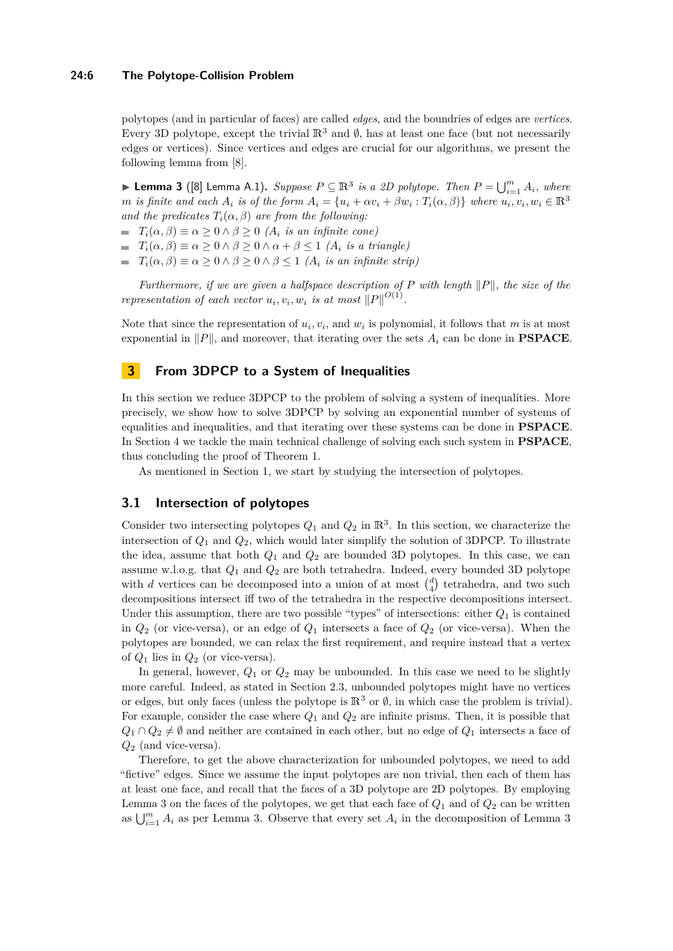#### **24:6 The Polytope-Collision Problem**

polytopes (and in particular of faces) are called *edges*, and the boundries of edges are *vertices*. Every 3D polytope, except the trivial  $\mathbb{R}^3$  and  $\emptyset$ , has at least one face (but not necessarily edges or vertices). Since vertices and edges are crucial for our algorithms, we present the following lemma from [\[8\]](#page-12-4).

<span id="page-5-2"></span>▶ **Lemma 3** ([\[8\]](#page-12-4) Lemma A.1). *Suppose*  $P \subseteq \mathbb{R}^3$  *is a 2D polytope. Then*  $P = \bigcup_{i=1}^m A_i$ *, where* m is finite and each  $A_i$  is of the form  $A_i = \{u_i + \alpha v_i + \beta w_i : T_i(\alpha, \beta)\}\$  where  $u_i, v_i, w_i \in \mathbb{R}^3$ *and the predicates*  $T_i(\alpha, \beta)$  *are from the following:* 

- $T_i(\alpha, \beta) \equiv \alpha > 0 \land \beta > 0$  *(A<sub>i</sub> is an infinite cone)*
- $\blacksquare$  *T*<sub>*i*</sub>(*α, β*)  $\equiv$  *α*  $\ge$  0 ∧ *β*  $\ge$  0 ∧ *α* + *β*  $\le$  1 (*A*<sub>*i*</sub> *is a triangle)*
- $\blacksquare$  *T*<sub>*i*</sub>(*α, β*)  $\equiv \alpha \geq 0 \land \beta \geq 0 \land \beta \leq 1$  (*A*<sub>*i*</sub> *is an infinite strip*)

*Furthermore, if we are given a halfspace description of*  $P$  *with length*  $||P||$ *, the size of the representation of each vector*  $u_i, v_i, w_i$  *is at most*  $||P||^{O(1)}$ .

Note that since the representation of  $u_i, v_i$ , and  $w_i$  is polynomial, it follows that  $m$  is at most exponential in  $||P||$ , and moreover, that iterating over the sets  $A_i$  can be done in **PSPACE**.

## <span id="page-5-0"></span>**3 From 3DPCP to a System of Inequalities**

In this section we reduce 3DPCP to the problem of solving a system of inequalities. More precisely, we show how to solve 3DPCP by solving an exponential number of systems of equalities and inequalities, and that iterating over these systems can be done in **PSPACE**. In Section [4](#page-8-0) we tackle the main technical challenge of solving each such system in **PSPACE**, thus concluding the proof of Theorem [1.](#page-1-1)

As mentioned in Section [1,](#page-0-0) we start by studying the intersection of polytopes.

### <span id="page-5-1"></span>**3.1 Intersection of polytopes**

Consider two intersecting polytopes  $Q_1$  and  $Q_2$  in  $\mathbb{R}^3$ . In this section, we characterize the intersection of *Q*<sup>1</sup> and *Q*2, which would later simplify the solution of 3DPCP. To illustrate the idea, assume that both  $Q_1$  and  $Q_2$  are bounded 3D polytopes. In this case, we can assume w.l.o.g. that *Q*<sup>1</sup> and *Q*<sup>2</sup> are both tetrahedra. Indeed, every bounded 3D polytope with *d* vertices can be decomposed into a union of at most  $\begin{pmatrix} d \\ 4 \end{pmatrix}$  tetrahedra, and two such decompositions intersect iff two of the tetrahedra in the respective decompositions intersect. Under this assumption, there are two possible "types" of intersections: either  $Q_1$  is contained in *Q*<sup>2</sup> (or vice-versa), or an edge of *Q*<sup>1</sup> intersects a face of *Q*<sup>2</sup> (or vice-versa). When the polytopes are bounded, we can relax the first requirement, and require instead that a vertex of  $Q_1$  lies in  $Q_2$  (or vice-versa).

In general, however,  $Q_1$  or  $Q_2$  may be unbounded. In this case we need to be slightly more careful. Indeed, as stated in Section [2.3,](#page-4-0) unbounded polytopes might have no vertices or edges, but only faces (unless the polytope is  $\mathbb{R}^3$  or  $\emptyset$ , in which case the problem is trivial). For example, consider the case where  $Q_1$  and  $Q_2$  are infinite prisms. Then, it is possible that  $Q_1 ∩ Q_2 ≠ ∅$  and neither are contained in each other, but no edge of  $Q_1$  intersects a face of *Q*<sup>2</sup> (and vice-versa).

Therefore, to get the above characterization for unbounded polytopes, we need to add "fictive" edges. Since we assume the input polytopes are non trivial, then each of them has at least one face, and recall that the faces of a 3D polytope are 2D polytopes. By employing Lemma [3](#page-5-2) on the faces of the polytopes, we get that each face of  $Q_1$  and of  $Q_2$  can be written as  $\bigcup_{i=1}^{m} A_i$  as per Lemma [3.](#page-5-2) Observe that every set  $A_i$  in the decomposition of Lemma [3](#page-5-2)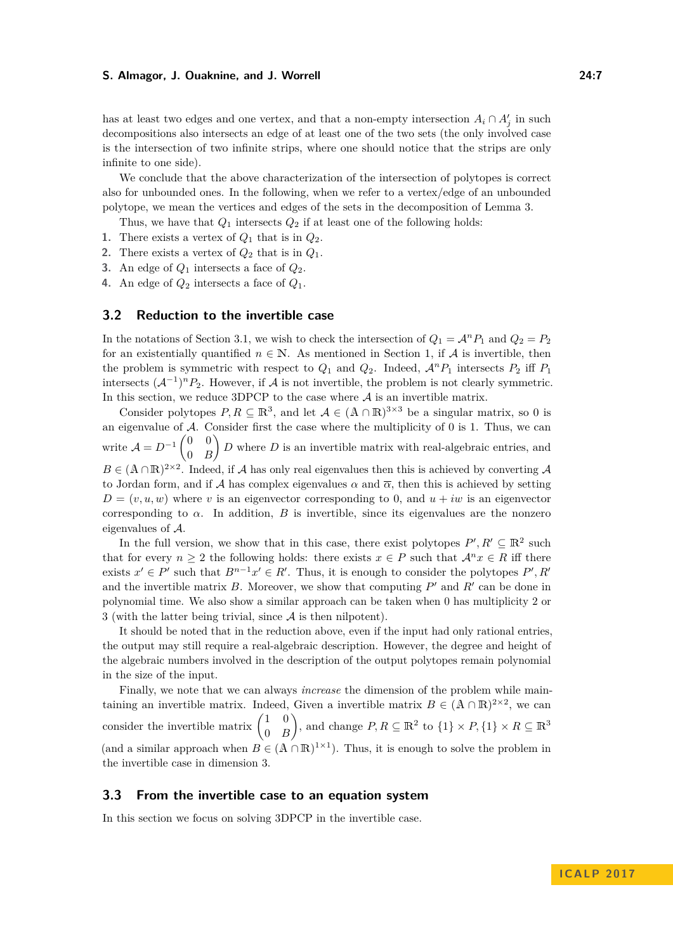has at least two edges and one vertex, and that a non-empty intersection  $A_i \cap A'_j$  in such decompositions also intersects an edge of at least one of the two sets (the only involved case is the intersection of two infinite strips, where one should notice that the strips are only infinite to one side).

We conclude that the above characterization of the intersection of polytopes is correct also for unbounded ones. In the following, when we refer to a vertex/edge of an unbounded polytope, we mean the vertices and edges of the sets in the decomposition of Lemma [3.](#page-5-2)

Thus, we have that  $Q_1$  intersects  $Q_2$  if at least one of the following holds:

- **1.** There exists a vertex of  $Q_1$  that is in  $Q_2$ .
- **2.** There exists a vertex of  $Q_2$  that is in  $Q_1$ .
- **3.** An edge of *Q*<sup>1</sup> intersects a face of *Q*2.
- **4.** An edge of *Q*<sup>2</sup> intersects a face of *Q*1.

## <span id="page-6-0"></span>**3.2 Reduction to the invertible case**

In the notations of Section [3.1,](#page-5-1) we wish to check the intersection of  $Q_1 = A^n P_1$  and  $Q_2 = P_2$ for an existentially quantified  $n \in \mathbb{N}$ . As mentioned in Section [1,](#page-0-0) if A is invertible, then the problem is symmetric with respect to  $Q_1$  and  $Q_2$ . Indeed,  $\mathcal{A}^n P_1$  intersects  $P_2$  iff  $P_1$ intersects  $(A^{-1})^n P_2$ . However, if A is not invertible, the problem is not clearly symmetric. In this section, we reduce 3DPCP to the case where  $A$  is an invertible matrix.

Consider polytopes  $P, R \subseteq \mathbb{R}^3$ , and let  $A \in (A \cap \mathbb{R})^{3 \times 3}$  be a singular matrix, so 0 is an eigenvalue of  $A$ . Consider first the case where the multiplicity of 0 is 1. Thus, we can write  $\mathcal{A} = D^{-1} \begin{pmatrix} 0 & 0 \\ 0 & D \end{pmatrix}$ 0 *B*  $\left\{ D \right\}$  *D* where *D* is an invertible matrix with real-algebraic entries, and  $B \in (A \cap \mathbb{R})^{2 \times 2}$ . Indeed, if A has only real eigenvalues then this is achieved by converting A to Jordan form, and if A has complex eigenvalues  $\alpha$  and  $\overline{\alpha}$ , then this is achieved by setting  $D = (v, u, w)$  where *v* is an eigenvector corresponding to 0, and  $u + iw$  is an eigenvector corresponding to  $\alpha$ . In addition, *B* is invertible, since its eigenvalues are the nonzero eigenvalues of A.

In the full version, we show that in this case, there exist polytopes  $P', R' \subseteq \mathbb{R}^2$  such that for every  $n \geq 2$  the following holds: there exists  $x \in P$  such that  $\mathcal{A}^n x \in R$  iff there exists  $x' \in P'$  such that  $B^{n-1}x' \in R'$ . Thus, it is enough to consider the polytopes  $P', R'$ and the invertible matrix  $B$ . Moreover, we show that computing  $P'$  and  $R'$  can be done in polynomial time. We also show a similar approach can be taken when 0 has multiplicity 2 or 3 (with the latter being trivial, since  $A$  is then nilpotent).

It should be noted that in the reduction above, even if the input had only rational entries, the output may still require a real-algebraic description. However, the degree and height of the algebraic numbers involved in the description of the output polytopes remain polynomial in the size of the input.

Finally, we note that we can always *increase* the dimension of the problem while maintaining an invertible matrix. Indeed, Given a invertible matrix  $B \in (\mathbb{A} \cap \mathbb{R})^{2 \times 2}$ , we can consider the invertible matrix  $\begin{pmatrix} 1 & 0 \\ 0 & F \end{pmatrix}$ 0 *B* ), and change  $P, R \subseteq \mathbb{R}^2$  to  $\{1\} \times P, \{1\} \times R \subseteq \mathbb{R}^3$ (and a similar approach when  $B \in (A \cap \mathbb{R})^{1 \times 1}$ ). Thus, it is enough to solve the problem in the invertible case in dimension 3.

#### <span id="page-6-1"></span>**3.3 From the invertible case to an equation system**

In this section we focus on solving 3DPCP in the invertible case.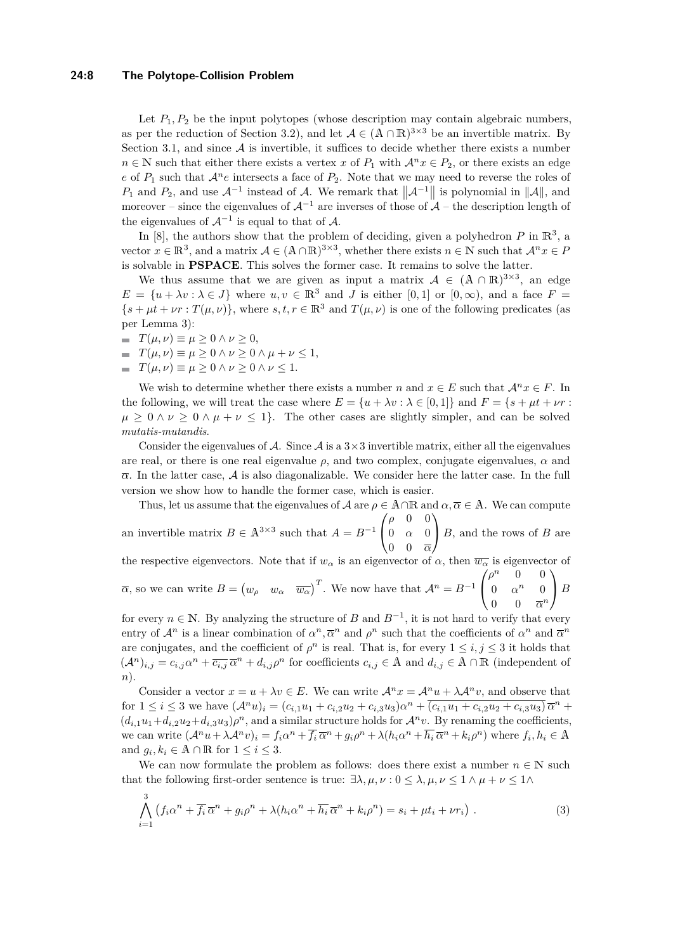#### **24:8 The Polytope-Collision Problem**

Let  $P_1, P_2$  be the input polytopes (whose description may contain algebraic numbers, as per the reduction of Section [3.2\)](#page-6-0), and let  $A \in (A \cap \mathbb{R})^{3 \times 3}$  be an invertible matrix. By Section [3.1,](#page-5-1) and since  $A$  is invertible, it suffices to decide whether there exists a number  $n \in \mathbb{N}$  such that either there exists a vertex *x* of  $P_1$  with  $\mathcal{A}^n x \in P_2$ , or there exists an edge *e* of  $P_1$  such that  $\mathcal{A}^n e$  intersects a face of  $P_2$ . Note that we may need to reverse the roles of *P*<sub>1</sub> and *P*<sub>2</sub>, and use  $\mathcal{A}^{-1}$  instead of  $\mathcal{A}$ . We remark that  $\|\mathcal{A}^{-1}\|$  is polynomial in  $\|\mathcal{A}\|$ , and moreover – since the eigenvalues of  $\mathcal{A}^{-1}$  are inverses of those of  $\mathcal{A}$  – the description length of the eigenvalues of  $\mathcal{A}^{-1}$  is equal to that of  $\mathcal{A}$ .

In  $[8]$ , the authors show that the problem of deciding, given a polyhedron  $P$  in  $\mathbb{R}^3$ , a vector  $x \in \mathbb{R}^3$ , and a matrix  $\mathcal{A} \in (\mathbb{A} \cap \mathbb{R})^{3 \times 3}$ , whether there exists  $n \in \mathbb{N}$  such that  $\mathcal{A}^n x \in P$ is solvable in **PSPACE**. This solves the former case. It remains to solve the latter.

We thus assume that we are given as input a matrix  $A \in (A \cap \mathbb{R})^{3 \times 3}$ , an edge  $E = \{u + \lambda v : \lambda \in J\}$  where  $u, v \in \mathbb{R}^3$  and *J* is either [0, 1] or [0,  $\infty$ ), and a face  $F =$  $\{s + \mu t + \nu r : T(\mu, \nu)\}\$ , where  $s, t, r \in \mathbb{R}^3$  and  $T(\mu, \nu)$  is one of the following predicates (as per Lemma [3\)](#page-5-2):

- $\equiv T(\mu, \nu) \equiv \mu \geq 0 \land \nu \geq 0,$
- $T(\mu, \nu) \equiv \mu > 0 \land \nu > 0 \land \mu + \nu < 1,$
- $\equiv T(\mu, \nu) \equiv \mu \geq 0 \land \nu \geq 0 \land \nu \leq 1.$

We wish to determine whether there exists a number *n* and  $x \in E$  such that  $\mathcal{A}^nx \in F$ . In the following, we will treat the case where  $E = \{u + \lambda v : \lambda \in [0, 1]\}$  and  $F = \{s + \mu t + \nu r : \lambda \in [0, 1]\}$  $\mu \geq 0 \land \nu \geq 0 \land \mu + \nu \leq 1$ . The other cases are slightly simpler, and can be solved *mutatis-mutandis*.

Consider the eigenvalues of A. Since A is a  $3\times 3$  invertible matrix, either all the eigenvalues are real, or there is one real eigenvalue  $\rho$ , and two complex, conjugate eigenvalues,  $\alpha$  and  $\overline{\alpha}$ . In the latter case,  $\overline{\mathcal{A}}$  is also diagonalizable. We consider here the latter case. In the full version we show how to handle the former case, which is easier.

Thus, let us assume that the eigenvalues of  $\mathcal A$  are  $\rho \in A \cap \mathbb R$  and  $\alpha, \overline{\alpha} \in A$ . We can compute  $\sqrt{ }$ *ρ* 0 0  $\setminus$ 

an invertible matrix  $B \in \mathbb{A}^{3 \times 3}$  such that  $A = B^{-1}$  $\overline{1}$ 0 *α* 0 0 0 *α <sup>B</sup>*, and the rows of *<sup>B</sup>* are

the respective eigenvectors. Note that if  $w_\alpha$  is an eigenvector of  $\alpha$ , then  $\overline{w_\alpha}$  is eigenvector of  $\overline{\alpha}$ , so we can write  $B = (w_\rho \ w_\alpha \ \overline{w_\alpha})^T$ . We now have that  $\mathcal{A}^n = B^{-1}$  $\sqrt{ }$  $\overline{1}$  $\rho^n$  0 0 0  $\alpha^n$  0 0 0  $\overline{\alpha}^n$  $\setminus$ *<sup>B</sup>*

for every  $n \in \mathbb{N}$ . By analyzing the structure of *B* and  $B^{-1}$ , it is not hard to verify that every entry of  $\mathcal{A}^n$  is a linear combination of  $\alpha^n, \overline{\alpha}^n$  and  $\rho^n$  such that the coefficients of  $\alpha^n$  and  $\overline{\alpha}^n$ are conjugates, and the coefficient of  $\rho^n$  is real. That is, for every  $1 \leq i, j \leq 3$  it holds that  $(A^n)_{i,j} = c_{i,j}a^n + \overline{c_{i,j}}\overline{a}^n + d_{i,j}\rho^n$  for coefficients  $c_{i,j} \in A$  and  $d_{i,j} \in A \cap \mathbb{R}$  (independent of *n*).

Consider a vector  $x = u + \lambda v \in E$ . We can write  $\mathcal{A}^n x = \mathcal{A}^n u + \lambda \mathcal{A}^n v$ , and observe that for  $1 \leq i \leq 3$  we have  $(A^n u)_i = (c_{i,1}u_1 + c_{i,2}u_2 + c_{i,3}u_3)\alpha^n + (c_{i,1}u_1 + c_{i,2}u_2 + c_{i,3}u_3)\overline{\alpha}^n +$  $(d_{i,1}u_1+d_{i,2}u_2+d_{i,3}u_3)\rho^n$ , and a similar structure holds for  $\mathcal{A}^n v$ . By renaming the coefficients, we can write  $(\mathcal{A}^n u + \lambda \mathcal{A}^n v)_i = f_i \alpha^n + \overline{f_i} \overline{\alpha}^n + g_i \rho^n + \lambda (h_i \alpha^n + \overline{h_i} \overline{\alpha}^n + k_i \rho^n)$  where  $f_i, h_i \in \mathbb{A}$ and  $g_i, k_i \in \mathbb{A} \cap \mathbb{R}$  for  $1 \leq i \leq 3$ .

We can now formulate the problem as follows: does there exist a number  $n \in \mathbb{N}$  such that the following first-order sentence is true:  $\exists \lambda, \mu, \nu : 0 \leq \lambda, \mu, \nu \leq 1 \wedge \mu + \nu \leq 1 \wedge \mu$ 

<span id="page-7-0"></span>
$$
\bigwedge_{i=1}^{3} \left( f_i \alpha^n + \overline{f_i} \, \overline{\alpha}^n + g_i \rho^n + \lambda (h_i \alpha^n + \overline{h_i} \, \overline{\alpha}^n + k_i \rho^n) = s_i + \mu t_i + \nu r_i \right) \,. \tag{3}
$$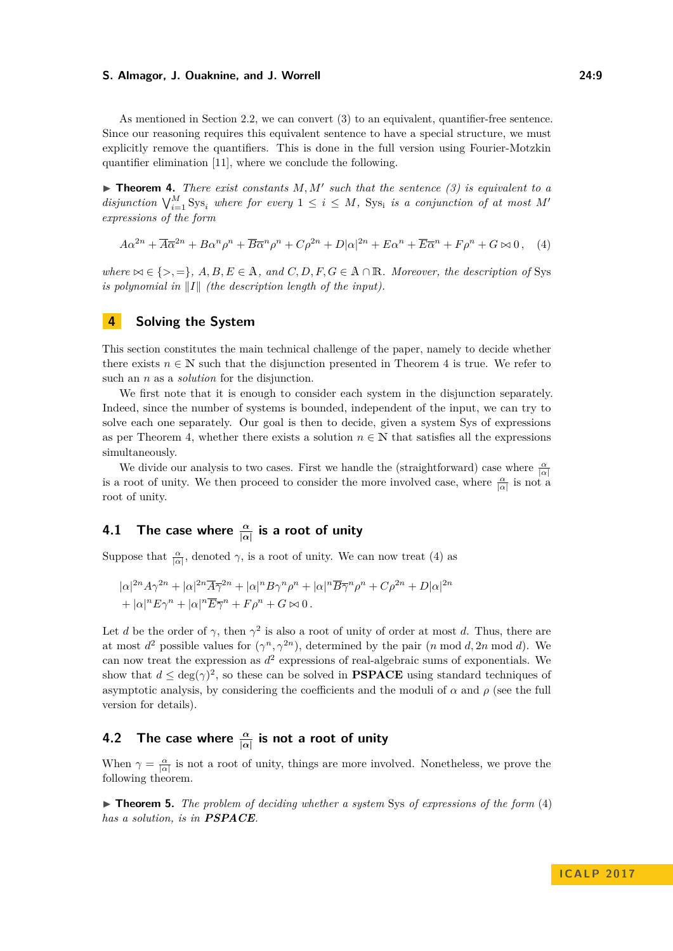As mentioned in Section [2.2,](#page-4-1) we can convert [\(3\)](#page-7-0) to an equivalent, quantifier-free sentence. Since our reasoning requires this equivalent sentence to have a special structure, we must explicitly remove the quantifiers. This is done in the full version using Fourier-Motzkin quantifier elimination [\[11\]](#page-12-9), where we conclude the following.

<span id="page-8-1"></span> $\triangleright$  **Theorem 4.** *There exist constants*  $M, M'$  such that the sentence [\(3\)](#page-7-0) is equivalent to a *disjunction*  $\bigvee_{i=1}^{M}$  Sys<sub>i</sub> *where for every*  $1 \leq i \leq M$ *,* Sys<sub>i</sub> *is a conjunction of at most M*<sup>*i*</sup> *expressions of the form*

<span id="page-8-2"></span>
$$
A\alpha^{2n} + \overline{A}\overline{\alpha}^{2n} + B\alpha^n\rho^n + \overline{B}\overline{\alpha}^n\rho^n + C\rho^{2n} + D|\alpha|^{2n} + E\alpha^n + \overline{E}\overline{\alpha}^n + F\rho^n + G \bowtie 0, \quad (4)
$$

*where*  $\bowtie \in \{>, =\}, A, B, E \in \mathbb{A}$ *, and*  $C, D, F, G \in \mathbb{A} \cap \mathbb{R}$ *. Moreover, the description of* Sys *is polynomial in*  $\|I\|$  *(the description length of the input).* 

## <span id="page-8-0"></span>**4 Solving the System**

This section constitutes the main technical challenge of the paper, namely to decide whether there exists  $n \in \mathbb{N}$  such that the disjunction presented in Theorem [4](#page-8-1) is true. We refer to such an *n* as a *solution* for the disjunction.

We first note that it is enough to consider each system in the disjunction separately. Indeed, since the number of systems is bounded, independent of the input, we can try to solve each one separately. Our goal is then to decide, given a system Sys of expressions as per Theorem [4,](#page-8-1) whether there exists a solution  $n \in \mathbb{N}$  that satisfies all the expressions simultaneously.

We divide our analysis to two cases. First we handle the (straightforward) case where  $\frac{\alpha}{|\alpha|}$ is a root of unity. We then proceed to consider the more involved case, where  $\frac{\alpha}{|\alpha|}$  is not a root of unity.

## <span id="page-8-4"></span>**4.1 The case where** *<sup>α</sup>* **|***α***| is a root of unity**

Suppose that  $\frac{\alpha}{|\alpha|}$ , denoted  $\gamma$ , is a root of unity. We can now treat [\(4\)](#page-8-2) as

$$
|\alpha|^{2n} A \gamma^{2n} + |\alpha|^{2n} \overline{A} \overline{\gamma}^{2n} + |\alpha|^{n} B \gamma^{n} \rho^{n} + |\alpha|^{n} \overline{B} \overline{\gamma}^{n} \rho^{n} + C \rho^{2n} + D |\alpha|^{2n}
$$
  
+  $|\alpha|^{n} E \gamma^{n} + |\alpha|^{n} \overline{E} \overline{\gamma}^{n} + F \rho^{n} + G \bowtie 0$ .

Let *d* be the order of  $\gamma$ , then  $\gamma^2$  is also a root of unity of order at most *d*. Thus, there are at most  $d^2$  possible values for  $(\gamma^n, \gamma^{2n})$ , determined by the pair  $(n \mod d, 2n \mod d)$ . We can now treat the expression as  $d^2$  expressions of real-algebraic sums of exponentials. We show that  $d \leq \deg(\gamma)^2$ , so these can be solved in **PSPACE** using standard techniques of asymptotic analysis, by considering the coefficients and the moduli of  $\alpha$  and  $\rho$  (see the full version for details).

## **4.2 The case where** *<sup>α</sup>* **|***α***| is not a root of unity**

When  $\gamma = \frac{\alpha}{|\alpha|}$  is not a root of unity, things are more involved. Nonetheless, we prove the following theorem.

<span id="page-8-3"></span>► **Theorem 5.** *The problem of deciding whether a system* Sys *of expressions of the form* [\(4\)](#page-8-2) *has a solution, is in PSPACE.*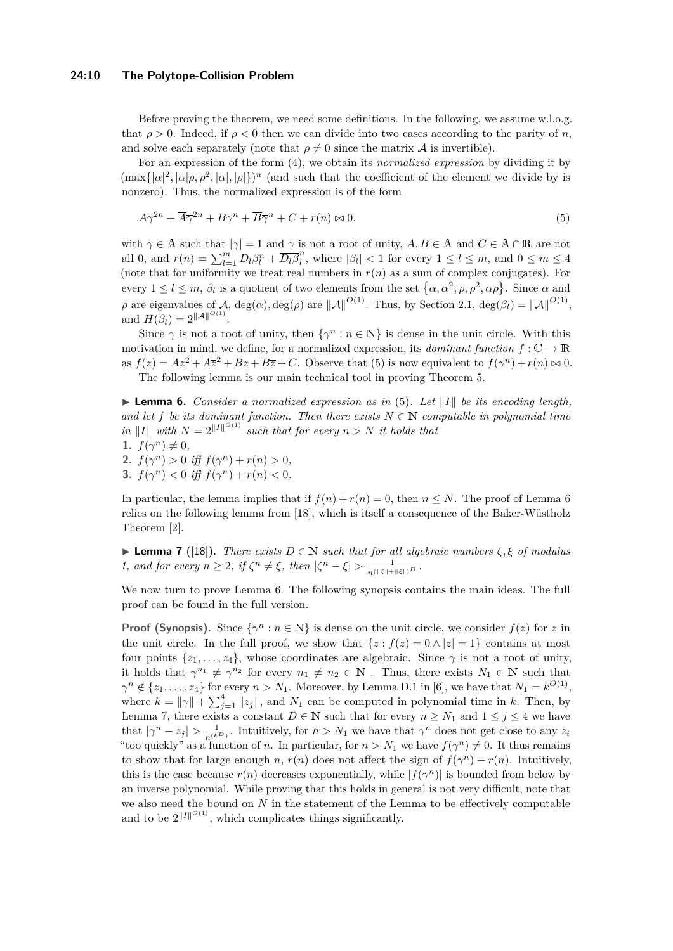#### **24:10 The Polytope-Collision Problem**

Before proving the theorem, we need some definitions. In the following, we assume w.l.o.g. that  $\rho > 0$ . Indeed, if  $\rho < 0$  then we can divide into two cases according to the parity of *n*, and solve each separately (note that  $\rho \neq 0$  since the matrix A is invertible).

For an expression of the form [\(4\)](#page-8-2), we obtain its *normalized expression* by dividing it by  $(\max\{|\alpha|^2, |\alpha|\rho, \rho^2, |\alpha|, |\rho|\})^n$  (and such that the coefficient of the element we divide by is nonzero). Thus, the normalized expression is of the form

<span id="page-9-0"></span>
$$
A\gamma^{2n} + \overline{A}\overline{\gamma}^{2n} + B\gamma^n + \overline{B}\overline{\gamma}^n + C + r(n) \bowtie 0,\tag{5}
$$

with  $\gamma \in A$  such that  $|\gamma| = 1$  and  $\gamma$  is not a root of unity,  $A, B \in A$  and  $C \in A \cap \mathbb{R}$  are not all 0, and  $r(n) = \sum_{l=1}^{m} D_l \beta_l^n + \overline{D_l} \overline{\beta}_l^n$  $\binom{n}{l}$ , where  $|\beta_l| < 1$  for every  $1 \leq l \leq m$ , and  $0 \leq m \leq 4$ (note that for uniformity we treat real numbers in  $r(n)$  as a sum of complex conjugates). For every  $1 \leq l \leq m$ ,  $\beta_l$  is a quotient of two elements from the set  $\{\alpha, \alpha^2, \rho, \rho^2, \alpha \rho\}$ . Since  $\alpha$  and *ρ* are eigenvalues of  $\mathcal{A}$ , deg( $\alpha$ ), deg( $\rho$ ) are  $\|\mathcal{A}\|^{O(1)}$ . Thus, by Section [2.1,](#page-3-2) deg( $\beta_l$ ) =  $\|\mathcal{A}\|^{O(1)}$ , and  $H(\beta_l) = 2^{\|\mathcal{A}\|^{O(1)}}$ .

Since  $\gamma$  is not a root of unity, then  $\{\gamma^n : n \in \mathbb{N}\}\)$  is dense in the unit circle. With this motivation in mind, we define, for a normalized expression, its *dominant function*  $f: \mathbb{C} \to \mathbb{R}$ as  $f(z) = Az^2 + \overline{Az}^2 + Bz + \overline{B}\overline{z} + C$ . Observe that [\(5\)](#page-9-0) is now equivalent to  $f(\gamma^n) + r(n) \bowtie 0$ .

The following lemma is our main technical tool in proving Theorem [5.](#page-8-3)

<span id="page-9-1"></span>**Lemma 6.** *Consider a normalized expression as in* [\(5\)](#page-9-0). Let  $||I||$  be its encoding length, and let *f* be its dominant function. Then there exists  $N \in \mathbb{N}$  computable in polynomial time *in* ||*I*|| *with*  $N = 2^{\Vert I \Vert^{O(1)}}$  *such that for every*  $n > N$  *it holds that* 1.  $f(\gamma^n) \neq 0$ ,

- **2.**  $f(\gamma^n) > 0$  *iff*  $f(\gamma^n) + r(n) > 0$ ,
- **3.**  $f(\gamma^n) < 0$  *iff*  $f(\gamma^n) + r(n) < 0$ .

In particular, the lemma implies that if  $f(n) + r(n) = 0$ , then  $n \leq N$ . The proof of Lemma [6](#page-9-1) relies on the following lemma from [\[18\]](#page-12-17), which is itself a consequence of the Baker-Wüstholz Theorem [\[2\]](#page-12-11).

<span id="page-9-2"></span>**► Lemma 7** ([\[18\]](#page-12-17)). *There exists*  $D \in \mathbb{N}$  *such that for all algebraic numbers*  $\zeta$ ,  $\xi$  *of modulus 1, and for every*  $n \geq 2$ , if  $\zeta^n \neq \xi$ , then  $|\zeta^n - \xi| > \frac{1}{n(\|\zeta\| + \|\xi\|)^D}$ .

We now turn to prove Lemma [6.](#page-9-1) The following synopsis contains the main ideas. The full proof can be found in the full version.

**Proof (Synopsis).** Since  $\{\gamma^n : n \in \mathbb{N}\}\)$  is dense on the unit circle, we consider  $f(z)$  for  $z$  in the unit circle. In the full proof, we show that  $\{z : f(z) = 0 \land |z| = 1\}$  contains at most four points  $\{z_1, \ldots, z_4\}$ , whose coordinates are algebraic. Since  $\gamma$  is not a root of unity, it holds that  $\gamma^{n_1} \neq \gamma^{n_2}$  for every  $n_1 \neq n_2 \in \mathbb{N}$ . Thus, there exists  $N_1 \in \mathbb{N}$  such that  $\gamma^n \notin \{z_1, \ldots, z_4\}$  for every  $n > N_1$ . Moreover, by Lemma D.1 in [\[6\]](#page-12-18), we have that  $N_1 = k^{O(1)}$ , where  $k = ||\gamma|| + \sum_{j=1}^{4} ||z_j||$ , and  $N_1$  can be computed in polynomial time in *k*. Then, by Lemma [7,](#page-9-2) there exists a constant  $D \in \mathbb{N}$  such that for every  $n \geq N_1$  and  $1 \leq j \leq 4$  we have that  $|\gamma^n - z_j| > \frac{1}{n^{(k)}}$ . Intuitively, for  $n > N_1$  we have that  $\gamma^n$  does not get close to any  $z_i$ "too quickly" as a function of *n*. In particular, for  $n > N_1$  we have  $f(\gamma^n) \neq 0$ . It thus remains to show that for large enough *n*,  $r(n)$  does not affect the sign of  $f(\gamma^n) + r(n)$ . Intuitively, this is the case because  $r(n)$  decreases exponentially, while  $|f(\gamma^n)|$  is bounded from below by an inverse polynomial. While proving that this holds in general is not very difficult, note that we also need the bound on *N* in the statement of the Lemma to be effectively computable and to be  $2^{\|I\|^{O(1)}}$ , which complicates things significantly.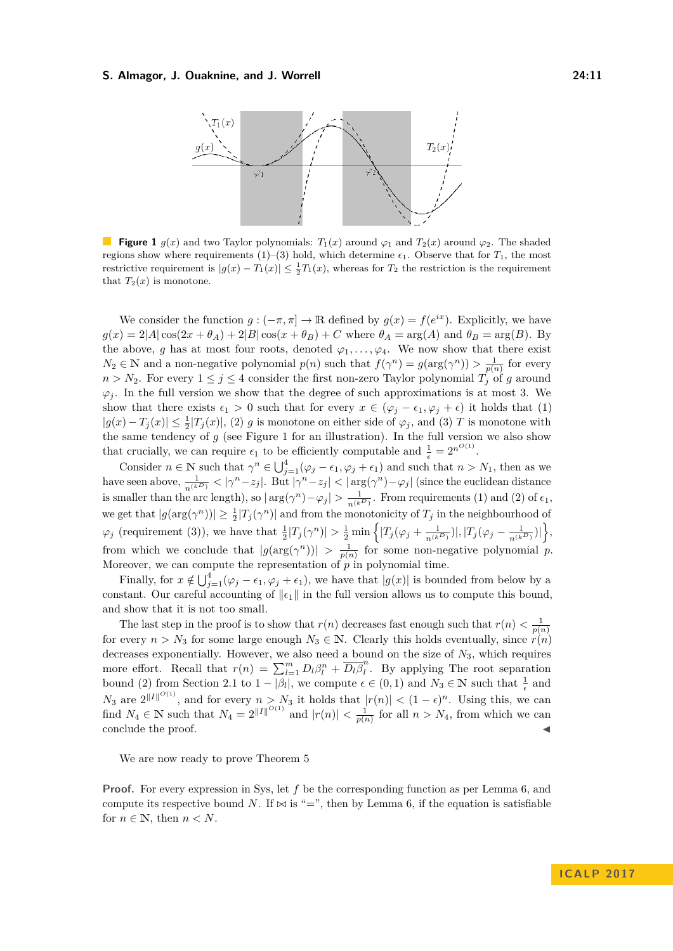<span id="page-10-0"></span>

**Figure 1**  $g(x)$  and two Taylor polynomials:  $T_1(x)$  around  $\varphi_1$  and  $T_2(x)$  around  $\varphi_2$ . The shaded regions show where requirements  $(1)-(3)$  hold, which determine  $\epsilon_1$ . Observe that for  $T_1$ , the most restrictive requirement is  $|g(x) - T_1(x)| \leq \frac{1}{2}T_1(x)$ , whereas for  $T_2$  the restriction is the requirement that  $T_2(x)$  is monotone.

We consider the function  $g: (-\pi, \pi] \to \mathbb{R}$  defined by  $g(x) = f(e^{ix})$ . Explicitly, we have  $g(x) = 2|A|\cos(2x + \theta_A) + 2|B|\cos(x + \theta_B) + C$  where  $\theta_A = \arg(A)$  and  $\theta_B = \arg(B)$ . By the above, *g* has at most four roots, denoted  $\varphi_1, \ldots, \varphi_4$ . We now show that there exist  $N_2 \in \mathbb{N}$  and a non-negative polynomial  $p(n)$  such that  $f(\gamma^n) = g(\arg(\gamma^n)) > \frac{1}{p(n)}$  for every  $n > N_2$ . For every  $1 \leq j \leq 4$  consider the first non-zero Taylor polynomial  $T_i$  of *g* around  $\varphi_i$ . In the full version we show that the degree of such approximations is at most 3. We show that there exists  $\epsilon_1 > 0$  such that for every  $x \in (\varphi_j - \epsilon_1, \varphi_j + \epsilon)$  it holds that (1)  $|g(x) - T_j(x)| \leq \frac{1}{2}|T_j(x)|$ , (2) *g* is monotone on either side of  $\varphi_j$ , and (3) *T* is monotone with the same tendency of  $g$  (see Figure [1](#page-10-0) for an illustration). In the full version we also show that crucially, we can require  $\epsilon_1$  to be efficiently computable and  $\frac{1}{\epsilon} = 2^{n^{O(1)}}$ .

Consider  $n \in \mathbb{N}$  such that  $\gamma^n \in \bigcup_{j=1}^4 (\varphi_j - \epsilon_1, \varphi_j + \epsilon_1)$  and such that  $n > N_1$ , then as we have seen above,  $\frac{1}{n^{(k)}} < |\gamma^n - z_j|$ . But  $|\gamma^n - z_j| < |\arg(\gamma^n) - \varphi_j|$  (since the euclidean distance is smaller than the arc length), so  $|\arg(\gamma^n) - \varphi_j| > \frac{1}{n^{(k_D)}}$ . From requirements (1) and (2) of  $\epsilon_1$ , we get that  $|g(\arg(\gamma^n))| \geq \frac{1}{2}|T_j(\gamma^n)|$  and from the monotonicity of  $T_j$  in the neighbourhood of  $\varphi_j$  (requirement (3)), we have that  $\frac{1}{2}|T_j(\gamma^n)| > \frac{1}{2}\min\left\{|T_j(\varphi_j + \frac{1}{n^{(k_D)}})|, |T_j(\varphi_j - \frac{1}{n^{(k_D)}})|\right\},\$ from which we conclude that  $|g(\arg(\gamma^n))| > \frac{1}{p(n)}$  for some non-negative polynomial *p*. Moreover, we can compute the representation of *p* in polynomial time.

Finally, for  $x \notin \bigcup_{j=1}^{4} (\varphi_j - \epsilon_1, \varphi_j + \epsilon_1)$ , we have that  $|g(x)|$  is bounded from below by a constant. Our careful accounting of  $\|\epsilon_1\|$  in the full version allows us to compute this bound, and show that it is not too small.

The last step in the proof is to show that  $r(n)$  decreases fast enough such that  $r(n) < \frac{1}{p(n)}$ for every  $n > N_3$  for some large enough  $N_3 \in \mathbb{N}$ . Clearly this holds eventually, since  $r(n)$ decreases exponentially. However, we also need a bound on the size of *N*3, which requires more effort. Recall that  $r(n) = \sum_{l=1}^{m} D_l \beta_l^n + \overline{D_l \beta_l^n}$  $\int_{l}^{\infty}$ . By applying The root separation bound [\(2\)](#page-3-1) from Section [2.1](#page-3-2) to  $1 - |\beta_l|$ , we compute  $\epsilon \in (0, 1)$  and  $N_3 \in \mathbb{N}$  such that  $\frac{1}{\epsilon}$  and *N*<sub>3</sub> are  $2^{\|I\|^{O(1)}}$ , and for every  $n > N_3$  it holds that  $|r(n)| < (1 - \epsilon)^n$ . Using this, we can find  $N_4 \in \mathbb{N}$  such that  $N_4 = 2^{\|I\|^{O(1)}}$  and  $|r(n)| < \frac{1}{p(n)}$  for all  $n > N_4$ , from which we can  $\blacksquare$ conclude the proof.

We are now ready to prove Theorem [5](#page-8-3)

**Proof.** For every expression in Sys, let f be the corresponding function as per Lemma [6,](#page-9-1) and compute its respective bound *N*. If  $\bowtie$  is "=", then by Lemma [6,](#page-9-1) if the equation is satisfiable for  $n \in \mathbb{N}$ , then  $n < N$ .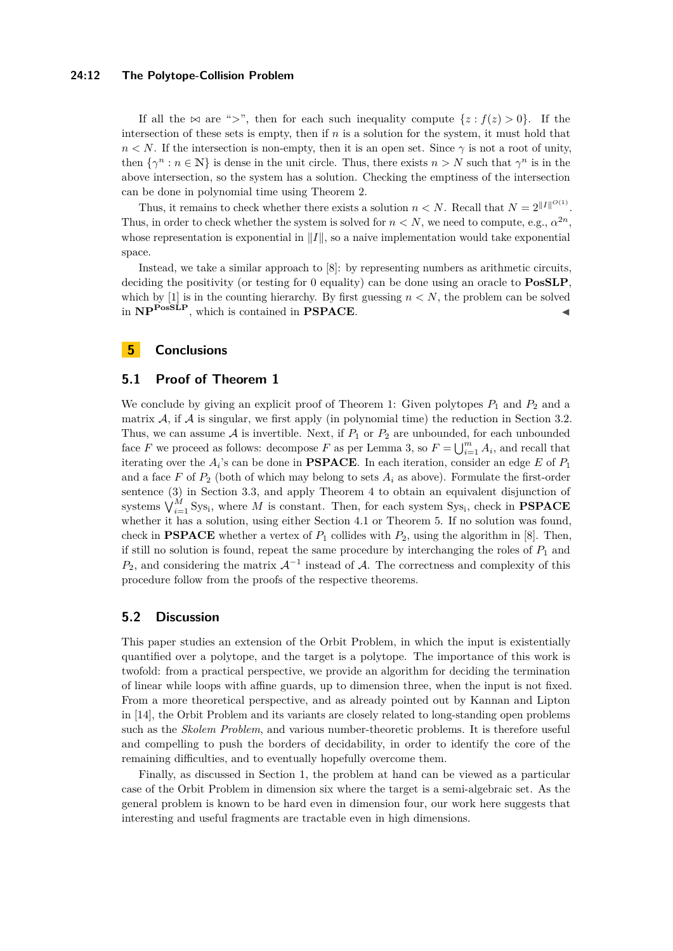#### **24:12 The Polytope-Collision Problem**

If all the  $\bowtie$  are ">", then for each such inequality compute  $\{z : f(z) > 0\}$ . If the intersection of these sets is empty, then if *n* is a solution for the system, it must hold that  $n < N$ . If the intersection is non-empty, then it is an open set. Since  $\gamma$  is not a root of unity, then  $\{\gamma^n : n \in \mathbb{N}\}\$ is dense in the unit circle. Thus, there exists  $n > N$  such that  $\gamma^n$  is in the above intersection, so the system has a solution. Checking the emptiness of the intersection can be done in polynomial time using Theorem [2.](#page-4-2)

Thus, it remains to check whether there exists a solution  $n < N$ . Recall that  $N = 2^{\|I\|^{O(1)}}$ . Thus, in order to check whether the system is solved for  $n < N$ , we need to compute, e.g.,  $\alpha^{2n}$ , whose representation is exponential in  $||I||$ , so a naive implementation would take exponential space.

Instead, we take a similar approach to [\[8\]](#page-12-4): by representing numbers as arithmetic circuits, deciding the positivity (or testing for 0 equality) can be done using an oracle to **PosSLP**, which by  $[1]$  is in the counting hierarchy. By first guessing  $n < N$ , the problem can be solved in  $\mathbf{NP}^{\mathbf{PosSLP}}$ , which is contained in **PSPACE**.

## **5 Conclusions**

## **5.1 Proof of Theorem [1](#page-1-1)**

We conclude by giving an explicit proof of Theorem [1:](#page-1-1) Given polytopes  $P_1$  and  $P_2$  and a matrix  $A$ , if  $A$  is singular, we first apply (in polynomial time) the reduction in Section [3.2.](#page-6-0) Thus, we can assume  $A$  is invertible. Next, if  $P_1$  or  $P_2$  are unbounded, for each unbounded face *F* we proceed as follows: decompose *F* as per Lemma [3,](#page-5-2) so  $F = \bigcup_{i=1}^{m} A_i$ , and recall that iterating over the *A<sup>i</sup>* 's can be done in **PSPACE**. In each iteration, consider an edge *E* of *P*<sup>1</sup> and a face  $F$  of  $P_2$  (both of which may belong to sets  $A_i$  as above). Formulate the first-order sentence [\(3\)](#page-7-0) in Section [3.3,](#page-6-1) and apply Theorem [4](#page-8-1) to obtain an equivalent disjunction of systems  $\bigvee_{i=1}^{M}$  Sys<sub>i</sub>, where *M* is constant. Then, for each system Sys<sub>i</sub>, check in **PSPACE** whether it has a solution, using either Section [4.1](#page-8-4) or Theorem [5.](#page-8-3) If no solution was found, check in **PSPACE** whether a vertex of  $P_1$  collides with  $P_2$ , using the algorithm in [\[8\]](#page-12-4). Then, if still no solution is found, repeat the same procedure by interchanging the roles of  $P_1$  and  $P_2$ , and considering the matrix  $\mathcal{A}^{-1}$  instead of  $\mathcal{A}$ . The correctness and complexity of this procedure follow from the proofs of the respective theorems.

#### **5.2 Discussion**

This paper studies an extension of the Orbit Problem, in which the input is existentially quantified over a polytope, and the target is a polytope. The importance of this work is twofold: from a practical perspective, we provide an algorithm for deciding the termination of linear while loops with affine guards, up to dimension three, when the input is not fixed. From a more theoretical perspective, and as already pointed out by Kannan and Lipton in [\[14\]](#page-12-2), the Orbit Problem and its variants are closely related to long-standing open problems such as the *Skolem Problem*, and various number-theoretic problems. It is therefore useful and compelling to push the borders of decidability, in order to identify the core of the remaining difficulties, and to eventually hopefully overcome them.

Finally, as discussed in Section [1,](#page-0-0) the problem at hand can be viewed as a particular case of the Orbit Problem in dimension six where the target is a semi-algebraic set. As the general problem is known to be hard even in dimension four, our work here suggests that interesting and useful fragments are tractable even in high dimensions.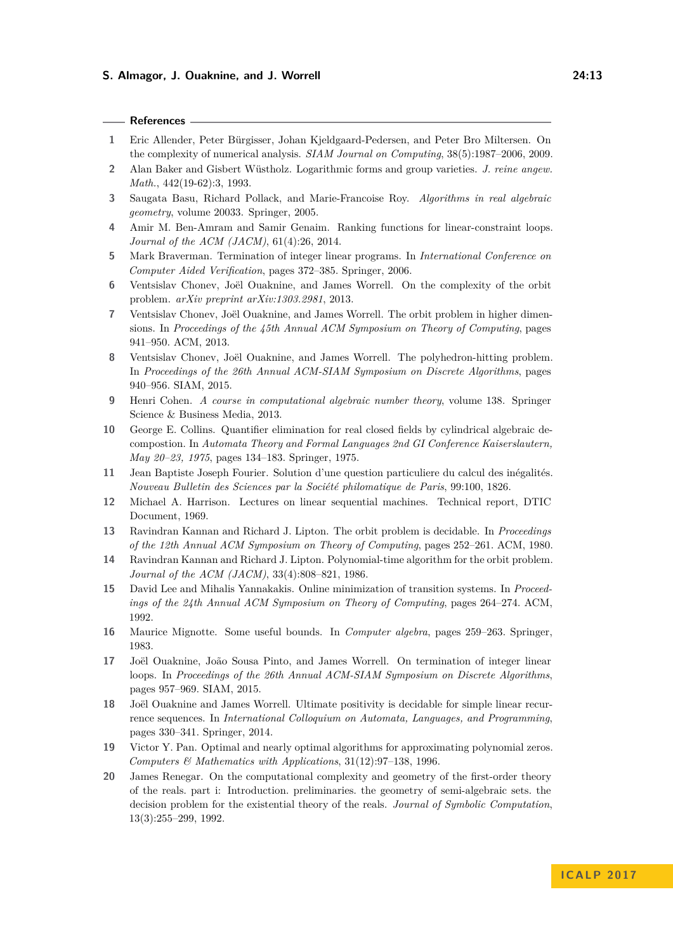#### **References**

- <span id="page-12-19"></span>**1** Eric Allender, Peter Bürgisser, Johan Kjeldgaard-Pedersen, and Peter Bro Miltersen. On the complexity of numerical analysis. *SIAM Journal on Computing*, 38(5):1987–2006, 2009.
- <span id="page-12-11"></span>**2** Alan Baker and Gisbert Wüstholz. Logarithmic forms and group varieties. *J. reine angew. Math.*, 442(19-62):3, 1993.
- <span id="page-12-13"></span>**3** Saugata Basu, Richard Pollack, and Marie-Francoise Roy. *Algorithms in real algebraic geometry*, volume 20033. Springer, 2005.
- <span id="page-12-7"></span>**4** Amir M. Ben-Amram and Samir Genaim. Ranking functions for linear-constraint loops. *Journal of the ACM (JACM)*, 61(4):26, 2014.
- <span id="page-12-6"></span>**5** Mark Braverman. Termination of integer linear programs. In *International Conference on Computer Aided Verification*, pages 372–385. Springer, 2006.
- <span id="page-12-18"></span>**6** Ventsislav Chonev, Joël Ouaknine, and James Worrell. On the complexity of the orbit problem. *arXiv preprint arXiv:1303.2981*, 2013.
- <span id="page-12-3"></span>**7** Ventsislav Chonev, Joël Ouaknine, and James Worrell. The orbit problem in higher dimensions. In *Proceedings of the 45th Annual ACM Symposium on Theory of Computing*, pages 941–950. ACM, 2013.
- <span id="page-12-4"></span>**8** Ventsislav Chonev, Joël Ouaknine, and James Worrell. The polyhedron-hitting problem. In *Proceedings of the 26th Annual ACM-SIAM Symposium on Discrete Algorithms*, pages 940–956. SIAM, 2015.
- <span id="page-12-14"></span>**9** Henri Cohen. *A course in computational algebraic number theory*, volume 138. Springer Science & Business Media, 2013.
- <span id="page-12-16"></span>**10** George E. Collins. Quantifier elimination for real closed fields by cylindrical algebraic decompostion. In *Automata Theory and Formal Languages 2nd GI Conference Kaiserslautern, May 20–23, 1975*, pages 134–183. Springer, 1975.
- <span id="page-12-9"></span>**11** Jean Baptiste Joseph Fourier. Solution d'une question particuliere du calcul des inégalités. *Nouveau Bulletin des Sciences par la Société philomatique de Paris*, 99:100, 1826.
- <span id="page-12-0"></span>**12** Michael A. Harrison. Lectures on linear sequential machines. Technical report, DTIC Document, 1969.
- <span id="page-12-1"></span>**13** Ravindran Kannan and Richard J. Lipton. The orbit problem is decidable. In *Proceedings of the 12th Annual ACM Symposium on Theory of Computing*, pages 252–261. ACM, 1980.
- <span id="page-12-2"></span>**14** Ravindran Kannan and Richard J. Lipton. Polynomial-time algorithm for the orbit problem. *Journal of the ACM (JACM)*, 33(4):808–821, 1986.
- <span id="page-12-5"></span>**15** David Lee and Mihalis Yannakakis. Online minimization of transition systems. In *Proceedings of the 24th Annual ACM Symposium on Theory of Computing*, pages 264–274. ACM, 1992.
- <span id="page-12-12"></span>**16** Maurice Mignotte. Some useful bounds. In *Computer algebra*, pages 259–263. Springer, 1983.
- <span id="page-12-8"></span>**17** Joël Ouaknine, João Sousa Pinto, and James Worrell. On termination of integer linear loops. In *Proceedings of the 26th Annual ACM-SIAM Symposium on Discrete Algorithms*, pages 957–969. SIAM, 2015.
- <span id="page-12-17"></span>**18** Joël Ouaknine and James Worrell. Ultimate positivity is decidable for simple linear recurrence sequences. In *International Colloquium on Automata, Languages, and Programming*, pages 330–341. Springer, 2014.
- <span id="page-12-15"></span>**19** Victor Y. Pan. Optimal and nearly optimal algorithms for approximating polynomial zeros. *Computers & Mathematics with Applications*, 31(12):97–138, 1996.
- <span id="page-12-10"></span>**20** James Renegar. On the computational complexity and geometry of the first-order theory of the reals. part i: Introduction. preliminaries. the geometry of semi-algebraic sets. the decision problem for the existential theory of the reals. *Journal of Symbolic Computation*, 13(3):255–299, 1992.